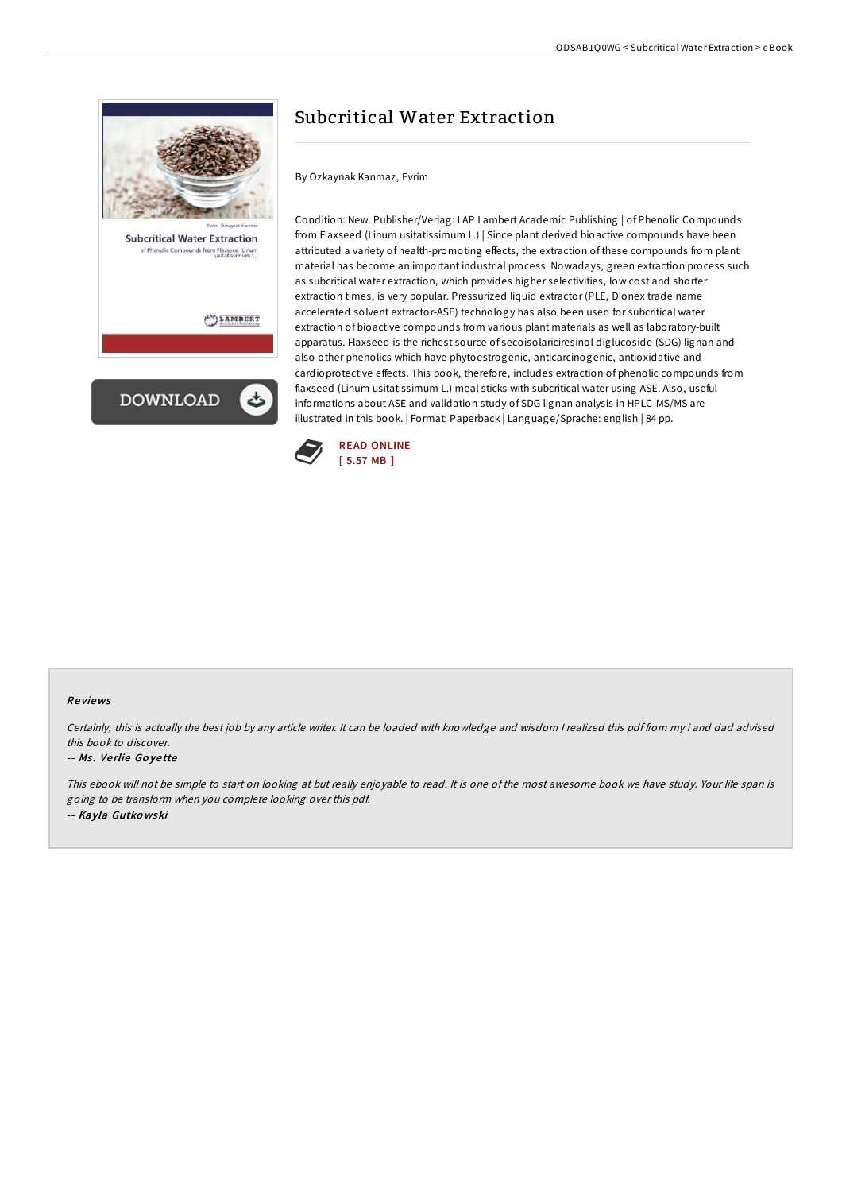

# Subcritical Water Extraction

By Özkaynak Kanmaz, Evrim

Condition: New. Publisher/Verlag: LAP Lambert Academic Publishing | of Phenolic Compounds from Flaxseed (Linum usitatissimum L.) | Since plant derived bioactive compounds have been attributed a variety of health-promoting effects, the extraction of these compounds from plant material has become an important industrial process. Nowadays, green extraction process such as subcritical water extraction, which provides higher selectivities, low cost and shorter extraction times, is very popular. Pressurized liquid extractor (PLE, Dionex trade name accelerated solvent extractor-ASE) technology has also been used for subcritical water extraction of bioactive compounds from various plant materials as well as laboratory-built apparatus. Flaxseed is the richest source of secoisolariciresinol diglucoside (SDG) lignan and also other phenolics which have phytoestrogenic, anticarcinogenic, antioxidative and cardioprotective effects. This book, therefore, includes extraction of phenolic compounds from flaxseed (Linum usitatissimum L.) meal sticks with subcritical water using ASE. Also, useful informations about ASE and validation study of SDG lignan analysis in HPLC-MS/MS are illustrated in this book. | Format: Paperback | Language/Sprache: english | 84 pp.



### Re views

Certainly, this is actually the best job by any article writer. It can be loaded with knowledge and wisdom <sup>I</sup> realized this pdf from my i and dad advised this book to discover.

#### -- Ms. Verlie Goyette

This ebook will not be simple to start on looking at but really enjoyable to read. It is one of the most awesome book we have study. Your life span is going to be transform when you complete looking over this pdf. -- Kayla Gutko wski